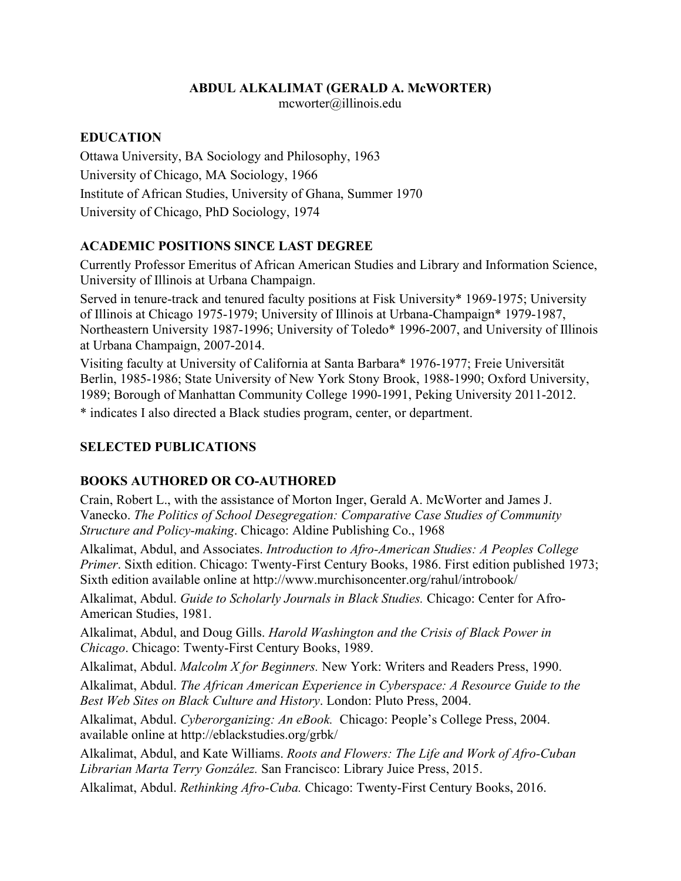#### **ABDUL ALKALIMAT (GERALD A. McWORTER)**

mcworter@illinois.edu

#### **EDUCATION**

Ottawa University, BA Sociology and Philosophy, 1963 University of Chicago, MA Sociology, 1966 Institute of African Studies, University of Ghana, Summer 1970 University of Chicago, PhD Sociology, 1974

### **ACADEMIC POSITIONS SINCE LAST DEGREE**

Currently Professor Emeritus of African American Studies and Library and Information Science, University of Illinois at Urbana Champaign.

Served in tenure-track and tenured faculty positions at Fisk University\* 1969-1975; University of Illinois at Chicago 1975-1979; University of Illinois at Urbana-Champaign\* 1979-1987, Northeastern University 1987-1996; University of Toledo\* 1996-2007, and University of Illinois at Urbana Champaign, 2007-2014.

Visiting faculty at University of California at Santa Barbara\* 1976-1977; Freie Universität Berlin, 1985-1986; State University of New York Stony Brook, 1988-1990; Oxford University, 1989; Borough of Manhattan Community College 1990-1991, Peking University 2011-2012.

\* indicates I also directed a Black studies program, center, or department.

### **SELECTED PUBLICATIONS**

### **BOOKS AUTHORED OR CO-AUTHORED**

Crain, Robert L., with the assistance of Morton Inger, Gerald A. McWorter and James J. Vanecko. *The Politics of School Desegregation: Comparative Case Studies of Community Structure and Policy-making*. Chicago: Aldine Publishing Co., 1968

Alkalimat, Abdul, and Associates. *Introduction to Afro-American Studies: A Peoples College Primer*. Sixth edition. Chicago: Twenty-First Century Books, 1986. First edition published 1973; Sixth edition available online at http://www.murchisoncenter.org/rahul/introbook/

Alkalimat, Abdul. *Guide to Scholarly Journals in Black Studies.* Chicago: Center for Afro-American Studies, 1981.

Alkalimat, Abdul, and Doug Gills. *Harold Washington and the Crisis of Black Power in Chicago*. Chicago: Twenty-First Century Books, 1989.

Alkalimat, Abdul. *Malcolm X for Beginners.* New York: Writers and Readers Press, 1990.

Alkalimat, Abdul. *The African American Experience in Cyberspace: A Resource Guide to the Best Web Sites on Black Culture and History*. London: Pluto Press, 2004.

Alkalimat, Abdul. *Cyberorganizing: An eBook.* Chicago: People's College Press, 2004. available online at http://eblackstudies.org/grbk/

Alkalimat, Abdul, and Kate Williams. *Roots and Flowers: The Life and Work of Afro-Cuban Librarian Marta Terry González.* San Francisco: Library Juice Press, 2015.

Alkalimat, Abdul. *Rethinking Afro-Cuba.* Chicago: Twenty-First Century Books, 2016.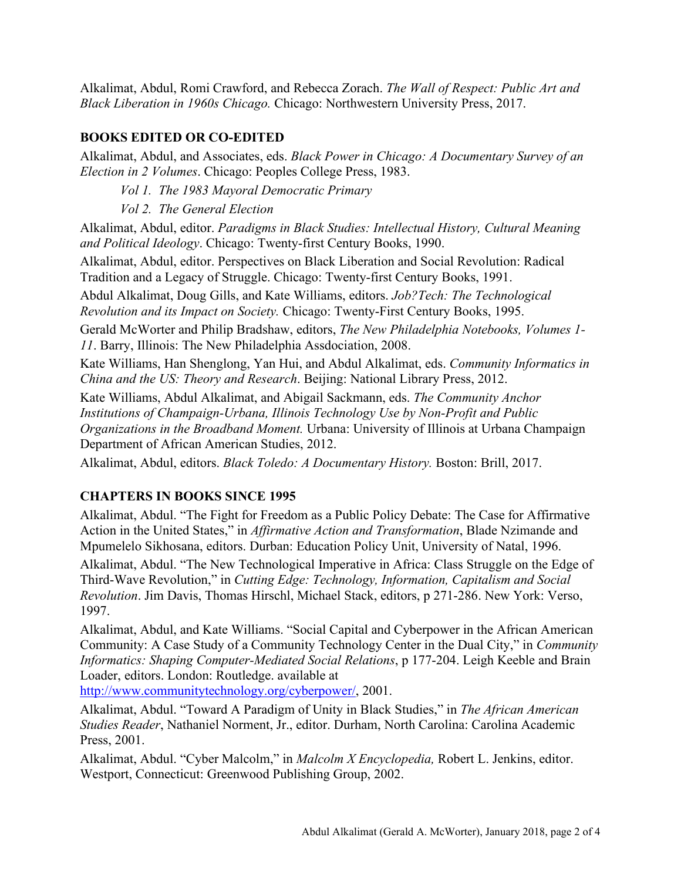Alkalimat, Abdul, Romi Crawford, and Rebecca Zorach. *The Wall of Respect: Public Art and Black Liberation in 1960s Chicago.* Chicago: Northwestern University Press, 2017.

## **BOOKS EDITED OR CO-EDITED**

Alkalimat, Abdul, and Associates, eds. *Black Power in Chicago: A Documentary Survey of an Election in 2 Volumes*. Chicago: Peoples College Press, 1983.

*Vol 1. The 1983 Mayoral Democratic Primary*

*Vol 2. The General Election*

Alkalimat, Abdul, editor. *Paradigms in Black Studies: Intellectual History, Cultural Meaning and Political Ideology*. Chicago: Twenty-first Century Books, 1990.

Alkalimat, Abdul, editor. Perspectives on Black Liberation and Social Revolution: Radical Tradition and a Legacy of Struggle. Chicago: Twenty-first Century Books, 1991.

Abdul Alkalimat, Doug Gills, and Kate Williams, editors. *Job?Tech: The Technological Revolution and its Impact on Society.* Chicago: Twenty-First Century Books, 1995.

Gerald McWorter and Philip Bradshaw, editors, *The New Philadelphia Notebooks, Volumes 1- 11*. Barry, Illinois: The New Philadelphia Assdociation, 2008.

Kate Williams, Han Shenglong, Yan Hui, and Abdul Alkalimat, eds. *Community Informatics in China and the US: Theory and Research*. Beijing: National Library Press, 2012.

Kate Williams, Abdul Alkalimat, and Abigail Sackmann, eds. *The Community Anchor Institutions of Champaign-Urbana, Illinois Technology Use by Non-Profit and Public Organizations in the Broadband Moment.* Urbana: University of Illinois at Urbana Champaign Department of African American Studies, 2012.

Alkalimat, Abdul, editors. *Black Toledo: A Documentary History.* Boston: Brill, 2017.

# **CHAPTERS IN BOOKS SINCE 1995**

Alkalimat, Abdul. "The Fight for Freedom as a Public Policy Debate: The Case for Affirmative Action in the United States," in *Affirmative Action and Transformation*, Blade Nzimande and Mpumelelo Sikhosana, editors. Durban: Education Policy Unit, University of Natal, 1996.

Alkalimat, Abdul. "The New Technological Imperative in Africa: Class Struggle on the Edge of Third-Wave Revolution," in *Cutting Edge: Technology, Information, Capitalism and Social Revolution*. Jim Davis, Thomas Hirschl, Michael Stack, editors, p 271-286. New York: Verso, 1997.

Alkalimat, Abdul, and Kate Williams. "Social Capital and Cyberpower in the African American Community: A Case Study of a Community Technology Center in the Dual City," in *Community Informatics: Shaping Computer-Mediated Social Relations*, p 177-204. Leigh Keeble and Brain Loader, editors. London: Routledge. available at

[http://www.communitytechnology.org/cyberpower/,](http://www.communitytechnology.org/cyberpower/) 2001.

Alkalimat, Abdul. "Toward A Paradigm of Unity in Black Studies," in *The African American Studies Reader*, Nathaniel Norment, Jr., editor. Durham, North Carolina: Carolina Academic Press, 2001.

Alkalimat, Abdul. "Cyber Malcolm," in *Malcolm X Encyclopedia,* Robert L. Jenkins, editor. Westport, Connecticut: Greenwood Publishing Group, 2002.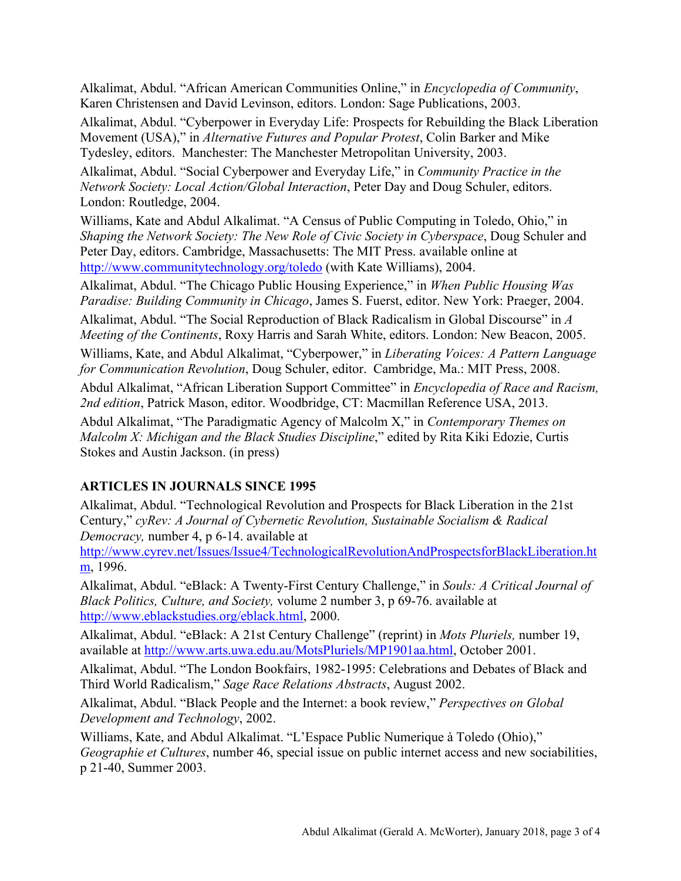Alkalimat, Abdul. "African American Communities Online," in *Encyclopedia of Community*, Karen Christensen and David Levinson, editors. London: Sage Publications, 2003.

Alkalimat, Abdul. "Cyberpower in Everyday Life: Prospects for Rebuilding the Black Liberation Movement (USA)," in *Alternative Futures and Popular Protest*, Colin Barker and Mike Tydesley, editors. Manchester: The Manchester Metropolitan University, 2003.

Alkalimat, Abdul. "Social Cyberpower and Everyday Life," in *Community Practice in the Network Society: Local Action/Global Interaction*, Peter Day and Doug Schuler, editors. London: Routledge, 2004.

Williams, Kate and Abdul Alkalimat. "A Census of Public Computing in Toledo, Ohio," in *Shaping the Network Society: The New Role of Civic Society in Cyberspace*, Doug Schuler and Peter Day, editors. Cambridge, Massachusetts: The MIT Press. available online at <http://www.communitytechnology.org/toledo> (with Kate Williams), 2004.

Alkalimat, Abdul. "The Chicago Public Housing Experience," in *When Public Housing Was Paradise: Building Community in Chicago*, James S. Fuerst, editor. New York: Praeger, 2004.

Alkalimat, Abdul. "The Social Reproduction of Black Radicalism in Global Discourse" in *A Meeting of the Continents*, Roxy Harris and Sarah White, editors. London: New Beacon, 2005.

Williams, Kate, and Abdul Alkalimat, "Cyberpower," in *Liberating Voices: A Pattern Language for Communication Revolution*, Doug Schuler, editor. Cambridge, Ma.: MIT Press, 2008.

Abdul Alkalimat, "African Liberation Support Committee" in *Encyclopedia of Race and Racism, 2nd edition*, Patrick Mason, editor. Woodbridge, CT: Macmillan Reference USA, 2013.

Abdul Alkalimat, "The Paradigmatic Agency of Malcolm X," in *Contemporary Themes on Malcolm X: Michigan and the Black Studies Discipline*," edited by Rita Kiki Edozie, Curtis Stokes and Austin Jackson. (in press)

# **ARTICLES IN JOURNALS SINCE 1995**

Alkalimat, Abdul. "Technological Revolution and Prospects for Black Liberation in the 21st Century," *cyRev: A Journal of Cybernetic Revolution, Sustainable Socialism & Radical Democracy,* number 4, p 6-14. available at

[http://www.cyrev.net/Issues/Issue4/TechnologicalRevolutionAndProspectsforBlackLiberation.ht](http://www.cyrev.net/Issues/Issue4/TechnologicalRevolutionAndProspectsforBlackLiberation.htm) [m,](http://www.cyrev.net/Issues/Issue4/TechnologicalRevolutionAndProspectsforBlackLiberation.htm) 1996.

Alkalimat, Abdul. "eBlack: A Twenty-First Century Challenge," in *Souls: A Critical Journal of Black Politics, Culture, and Society,* volume 2 number 3, p 69-76. available at [http://www.eblackstudies.org/eblack.html,](http://www.eblackstudies.org/eblack.html) 2000.

Alkalimat, Abdul. "eBlack: A 21st Century Challenge" (reprint) in *Mots Pluriels,* number 19, available at [http://www.arts.uwa.edu.au/MotsPluriels/MP1901aa.html,](http://www.arts.uwa.edu.au/MotsPluriels/MP1901aa.html) October 2001.

Alkalimat, Abdul. "The London Bookfairs, 1982-1995: Celebrations and Debates of Black and Third World Radicalism," *Sage Race Relations Abstracts*, August 2002.

Alkalimat, Abdul. "Black People and the Internet: a book review," *Perspectives on Global Development and Technology*, 2002.

Williams, Kate, and Abdul Alkalimat. "L'Espace Public Numerique à Toledo (Ohio)," *Geographie et Cultures*, number 46, special issue on public internet access and new sociabilities, p 21-40, Summer 2003.